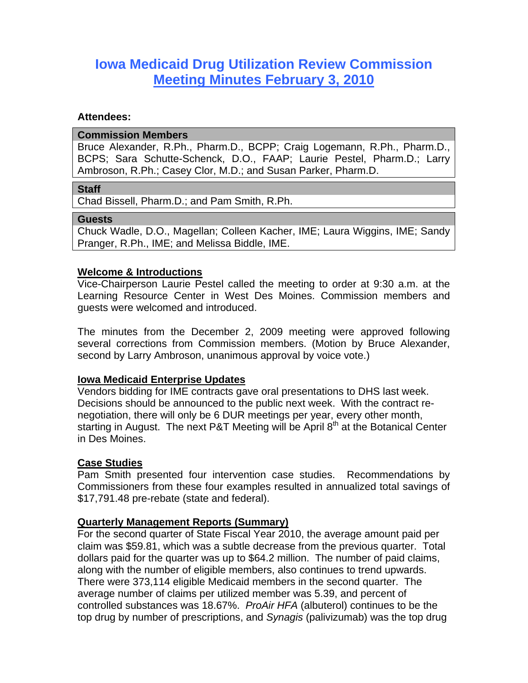# **Iowa Medicaid Drug Utilization Review Commission Meeting Minutes February 3, 2010**

#### **Attendees:**

#### **Commission Members**

Bruce Alexander, R.Ph., Pharm.D., BCPP; Craig Logemann, R.Ph., Pharm.D., BCPS; Sara Schutte-Schenck, D.O., FAAP; Laurie Pestel, Pharm.D.; Larry Ambroson, R.Ph.; Casey Clor, M.D.; and Susan Parker, Pharm.D.

#### **Staff**

Chad Bissell, Pharm.D.; and Pam Smith, R.Ph.

#### **Guests**

Chuck Wadle, D.O., Magellan; Colleen Kacher, IME; Laura Wiggins, IME; Sandy Pranger, R.Ph., IME; and Melissa Biddle, IME.

## **Welcome & Introductions**

Vice-Chairperson Laurie Pestel called the meeting to order at 9:30 a.m. at the Learning Resource Center in West Des Moines. Commission members and guests were welcomed and introduced.

The minutes from the December 2, 2009 meeting were approved following several corrections from Commission members. (Motion by Bruce Alexander, second by Larry Ambroson, unanimous approval by voice vote.)

# **Iowa Medicaid Enterprise Updates**

Vendors bidding for IME contracts gave oral presentations to DHS last week. Decisions should be announced to the public next week. With the contract renegotiation, there will only be 6 DUR meetings per year, every other month, starting in August. The next P&T Meeting will be April  $8<sup>th</sup>$  at the Botanical Center in Des Moines.

#### **Case Studies**

Pam Smith presented four intervention case studies. Recommendations by Commissioners from these four examples resulted in annualized total savings of \$17,791.48 pre-rebate (state and federal).

#### **Quarterly Management Reports (Summary)**

For the second quarter of State Fiscal Year 2010, the average amount paid per claim was \$59.81, which was a subtle decrease from the previous quarter. Total dollars paid for the quarter was up to \$64.2 million. The number of paid claims, along with the number of eligible members, also continues to trend upwards. There were 373,114 eligible Medicaid members in the second quarter. The average number of claims per utilized member was 5.39, and percent of controlled substances was 18.67%. *ProAir HFA* (albuterol) continues to be the top drug by number of prescriptions, and *Synagis* (palivizumab) was the top drug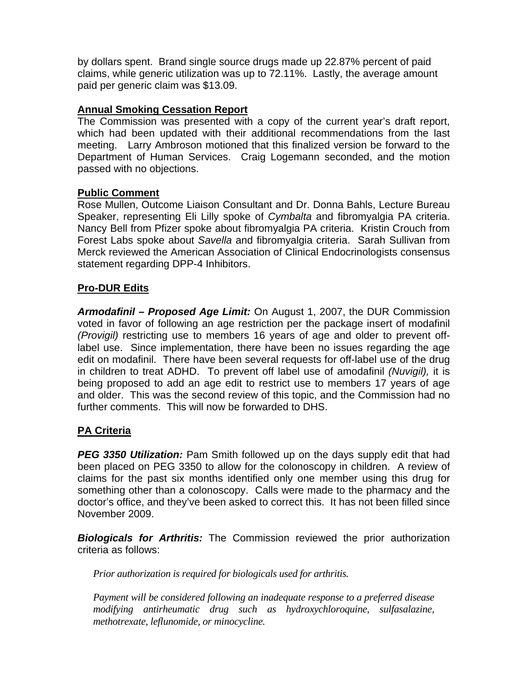by dollars spent. Brand single source drugs made up 22.87% percent of paid claims, while generic utilization was up to 72.11%. Lastly, the average amount paid per generic claim was \$13.09.

# **Annual Smoking Cessation Report**

The Commission was presented with a copy of the current year's draft report, which had been updated with their additional recommendations from the last meeting. Larry Ambroson motioned that this finalized version be forward to the Department of Human Services. Craig Logemann seconded, and the motion passed with no objections.

# **Public Comment**

Rose Mullen, Outcome Liaison Consultant and Dr. Donna Bahls, Lecture Bureau Speaker, representing Eli Lilly spoke of *Cymbalta* and fibromyalgia PA criteria. Nancy Bell from Pfizer spoke about fibromyalgia PA criteria. Kristin Crouch from Forest Labs spoke about *Savella* and fibromyalgia criteria. Sarah Sullivan from Merck reviewed the American Association of Clinical Endocrinologists consensus statement regarding DPP-4 Inhibitors.

# **Pro-DUR Edits**

*Armodafinil – Proposed Age Limit:* On August 1, 2007, the DUR Commission voted in favor of following an age restriction per the package insert of modafinil *(Provigil)* restricting use to members 16 years of age and older to prevent offlabel use. Since implementation, there have been no issues regarding the age edit on modafinil. There have been several requests for off-label use of the drug in children to treat ADHD. To prevent off label use of amodafinil *(Nuvigil),* it is being proposed to add an age edit to restrict use to members 17 years of age and older. This was the second review of this topic, and the Commission had no further comments. This will now be forwarded to DHS.

# **PA Criteria**

**PEG 3350 Utilization:** Pam Smith followed up on the days supply edit that had been placed on PEG 3350 to allow for the colonoscopy in children. A review of claims for the past six months identified only one member using this drug for something other than a colonoscopy. Calls were made to the pharmacy and the doctor's office, and they've been asked to correct this. It has not been filled since November 2009.

*Biologicals for Arthritis:* The Commission reviewed the prior authorization criteria as follows:

*Prior authorization is required for biologicals used for arthritis.* 

*Payment will be considered following an inadequate response to a preferred disease modifying antirheumatic drug such as hydroxychloroquine, sulfasalazine, methotrexate, leflunomide, or minocycline.*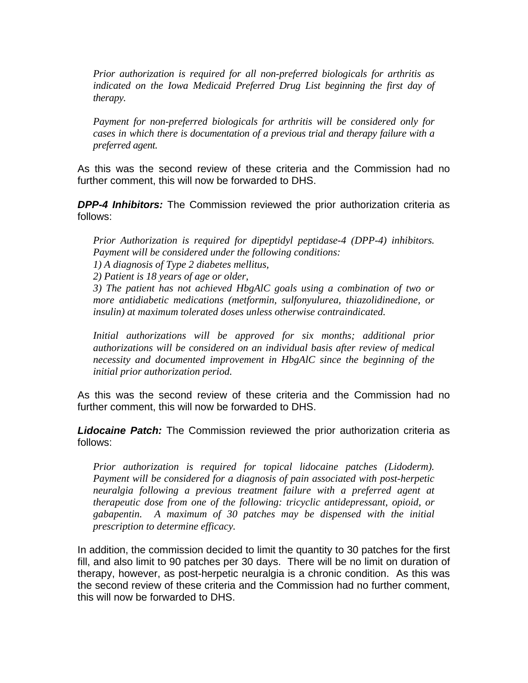*Prior authorization is required for all non-preferred biologicals for arthritis as*  indicated on the Iowa Medicaid Preferred Drug List beginning the first day of *therapy.* 

*Payment for non-preferred biologicals for arthritis will be considered only for cases in which there is documentation of a previous trial and therapy failure with a preferred agent.*

As this was the second review of these criteria and the Commission had no further comment, this will now be forwarded to DHS.

*DPP-4 Inhibitors:* The Commission reviewed the prior authorization criteria as follows:

*Prior Authorization is required for dipeptidyl peptidase-4 (DPP-4) inhibitors. Payment will be considered under the following conditions:* 

*1) A diagnosis of Type 2 diabetes mellitus,* 

*2) Patient is 18 years of age or older,* 

*3) The patient has not achieved HbgAlC goals using a combination of two or more antidiabetic medications (metformin, sulfonyulurea, thiazolidinedione, or insulin) at maximum tolerated doses unless otherwise contraindicated.* 

*Initial authorizations will be approved for six months; additional prior authorizations will be considered on an individual basis after review of medical necessity and documented improvement in HbgAlC since the beginning of the initial prior authorization period.* 

As this was the second review of these criteria and the Commission had no further comment, this will now be forwarded to DHS.

*Lidocaine Patch:* The Commission reviewed the prior authorization criteria as follows:

*Prior authorization is required for topical lidocaine patches (Lidoderm). Payment will be considered for a diagnosis of pain associated with post-herpetic neuralgia following a previous treatment failure with a preferred agent at therapeutic dose from one of the following: tricyclic antidepressant, opioid, or gabapentin. A maximum of 30 patches may be dispensed with the initial prescription to determine efficacy.* 

In addition, the commission decided to limit the quantity to 30 patches for the first fill, and also limit to 90 patches per 30 days. There will be no limit on duration of therapy, however, as post-herpetic neuralgia is a chronic condition. As this was the second review of these criteria and the Commission had no further comment, this will now be forwarded to DHS.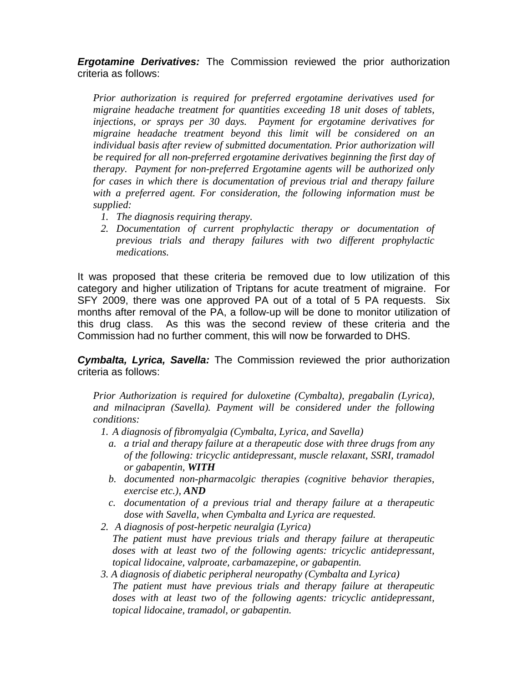*Ergotamine Derivatives:* The Commission reviewed the prior authorization criteria as follows:

*Prior authorization is required for preferred ergotamine derivatives used for migraine headache treatment for quantities exceeding 18 unit doses of tablets, injections, or sprays per 30 days. Payment for ergotamine derivatives for migraine headache treatment beyond this limit will be considered on an individual basis after review of submitted documentation. Prior authorization will be required for all non-preferred ergotamine derivatives beginning the first day of therapy. Payment for non-preferred Ergotamine agents will be authorized only for cases in which there is documentation of previous trial and therapy failure with a preferred agent. For consideration, the following information must be supplied:* 

- *1. The diagnosis requiring therapy.*
- *2. Documentation of current prophylactic therapy or documentation of previous trials and therapy failures with two different prophylactic medications.*

It was proposed that these criteria be removed due to low utilization of this category and higher utilization of Triptans for acute treatment of migraine. For SFY 2009, there was one approved PA out of a total of 5 PA requests. Six months after removal of the PA, a follow-up will be done to monitor utilization of this drug class. As this was the second review of these criteria and the Commission had no further comment, this will now be forwarded to DHS.

*Cymbalta, Lyrica, Savella:* The Commission reviewed the prior authorization criteria as follows:

*Prior Authorization is required for duloxetine (Cymbalta), pregabalin (Lyrica), and milnacipran (Savella). Payment will be considered under the following conditions:* 

*1. A diagnosis of fibromyalgia (Cymbalta, Lyrica, and Savella)* 

- *a. a trial and therapy failure at a therapeutic dose with three drugs from any of the following: tricyclic antidepressant, muscle relaxant, SSRI, tramadol or gabapentin, WITH*
- *b. documented non-pharmacolgic therapies (cognitive behavior therapies, exercise etc.), AND*
- *c. documentation of a previous trial and therapy failure at a therapeutic dose with Savella, when Cymbalta and Lyrica are requested.*
- *2. A diagnosis of post-herpetic neuralgia (Lyrica) The patient must have previous trials and therapy failure at therapeutic doses with at least two of the following agents: tricyclic antidepressant, topical lidocaine, valproate, carbamazepine, or gabapentin.*
- *3. A diagnosis of diabetic peripheral neuropathy (Cymbalta and Lyrica) The patient must have previous trials and therapy failure at therapeutic doses with at least two of the following agents: tricyclic antidepressant, topical lidocaine, tramadol, or gabapentin.*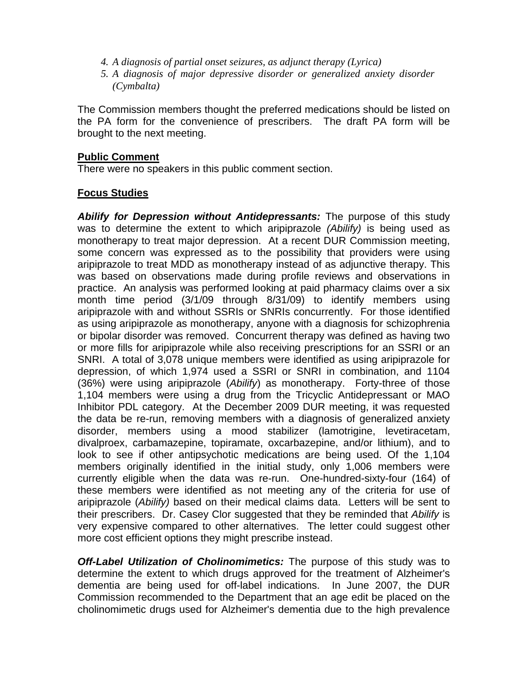- *4. A diagnosis of partial onset seizures, as adjunct therapy (Lyrica)*
- *5. A diagnosis of major depressive disorder or generalized anxiety disorder (Cymbalta)*

The Commission members thought the preferred medications should be listed on the PA form for the convenience of prescribers. The draft PA form will be brought to the next meeting.

#### **Public Comment**

There were no speakers in this public comment section.

### **Focus Studies**

*Abilify for Depression without Antidepressants:* The purpose of this study was to determine the extent to which aripiprazole *(Abilify)* is being used as monotherapy to treat major depression. At a recent DUR Commission meeting, some concern was expressed as to the possibility that providers were using aripiprazole to treat MDD as monotherapy instead of as adjunctive therapy. This was based on observations made during profile reviews and observations in practice. An analysis was performed looking at paid pharmacy claims over a six month time period (3/1/09 through 8/31/09) to identify members using aripiprazole with and without SSRIs or SNRIs concurrently. For those identified as using aripiprazole as monotherapy, anyone with a diagnosis for schizophrenia or bipolar disorder was removed. Concurrent therapy was defined as having two or more fills for aripiprazole while also receiving prescriptions for an SSRI or an SNRI. A total of 3,078 unique members were identified as using aripiprazole for depression, of which 1,974 used a SSRI or SNRI in combination, and 1104 (36%) were using aripiprazole (*Abilify*) as monotherapy. Forty-three of those 1,104 members were using a drug from the Tricyclic Antidepressant or MAO Inhibitor PDL category. At the December 2009 DUR meeting, it was requested the data be re-run, removing members with a diagnosis of generalized anxiety disorder, members using a mood stabilizer (lamotrigine, levetiracetam, divalproex, carbamazepine, topiramate, oxcarbazepine, and/or lithium), and to look to see if other antipsychotic medications are being used. Of the 1,104 members originally identified in the initial study, only 1,006 members were currently eligible when the data was re-run. One-hundred-sixty-four (164) of these members were identified as not meeting any of the criteria for use of aripiprazole (*Abilify)* based on their medical claims data. Letters will be sent to their prescribers. Dr. Casey Clor suggested that they be reminded that *Abilify* is very expensive compared to other alternatives. The letter could suggest other more cost efficient options they might prescribe instead.

*Off-Label Utilization of Cholinomimetics:* The purpose of this study was to determine the extent to which drugs approved for the treatment of Alzheimer's dementia are being used for off-label indications. In June 2007, the DUR Commission recommended to the Department that an age edit be placed on the cholinomimetic drugs used for Alzheimer's dementia due to the high prevalence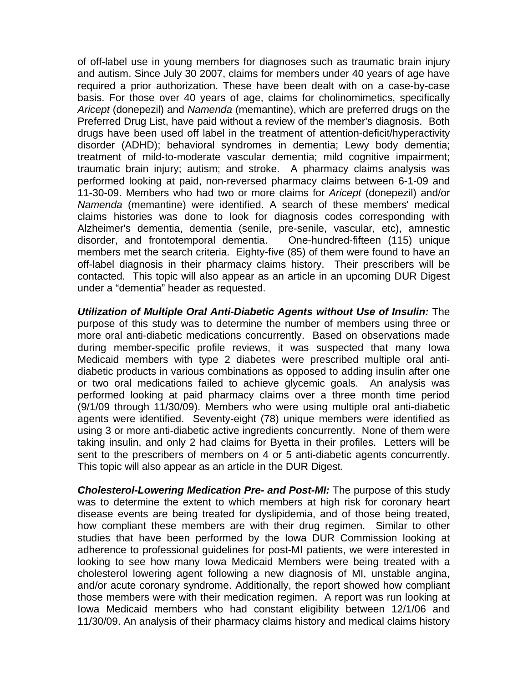of off-label use in young members for diagnoses such as traumatic brain injury and autism. Since July 30 2007, claims for members under 40 years of age have required a prior authorization. These have been dealt with on a case-by-case basis. For those over 40 years of age, claims for cholinomimetics, specifically *Aricept* (donepezil) and *Namenda* (memantine), which are preferred drugs on the Preferred Drug List, have paid without a review of the member's diagnosis. Both drugs have been used off label in the treatment of attention-deficit/hyperactivity disorder (ADHD); behavioral syndromes in dementia; Lewy body dementia; treatment of mild-to-moderate vascular dementia; mild cognitive impairment; traumatic brain injury; autism; and stroke. A pharmacy claims analysis was performed looking at paid, non-reversed pharmacy claims between 6-1-09 and 11-30-09. Members who had two or more claims for *Aricept* (donepezil) and/or *Namenda* (memantine) were identified. A search of these members' medical claims histories was done to look for diagnosis codes corresponding with Alzheimer's dementia, dementia (senile, pre-senile, vascular, etc), amnestic disorder, and frontotemporal dementia. One-hundred-fifteen (115) unique members met the search criteria. Eighty-five (85) of them were found to have an off-label diagnosis in their pharmacy claims history. Their prescribers will be contacted. This topic will also appear as an article in an upcoming DUR Digest under a "dementia" header as requested.

*Utilization of Multiple Oral Anti-Diabetic Agents without Use of Insulin:* The purpose of this study was to determine the number of members using three or more oral anti-diabetic medications concurrently. Based on observations made during member-specific profile reviews, it was suspected that many Iowa Medicaid members with type 2 diabetes were prescribed multiple oral antidiabetic products in various combinations as opposed to adding insulin after one or two oral medications failed to achieve glycemic goals. An analysis was performed looking at paid pharmacy claims over a three month time period (9/1/09 through 11/30/09). Members who were using multiple oral anti-diabetic agents were identified. Seventy-eight (78) unique members were identified as using 3 or more anti-diabetic active ingredients concurrently. None of them were taking insulin, and only 2 had claims for Byetta in their profiles. Letters will be sent to the prescribers of members on 4 or 5 anti-diabetic agents concurrently. This topic will also appear as an article in the DUR Digest.

*Cholesterol-Lowering Medication Pre- and Post-MI:* The purpose of this study was to determine the extent to which members at high risk for coronary heart disease events are being treated for dyslipidemia, and of those being treated, how compliant these members are with their drug regimen. Similar to other studies that have been performed by the Iowa DUR Commission looking at adherence to professional guidelines for post-MI patients, we were interested in looking to see how many Iowa Medicaid Members were being treated with a cholesterol lowering agent following a new diagnosis of MI, unstable angina, and/or acute coronary syndrome. Additionally, the report showed how compliant those members were with their medication regimen. A report was run looking at Iowa Medicaid members who had constant eligibility between 12/1/06 and 11/30/09. An analysis of their pharmacy claims history and medical claims history